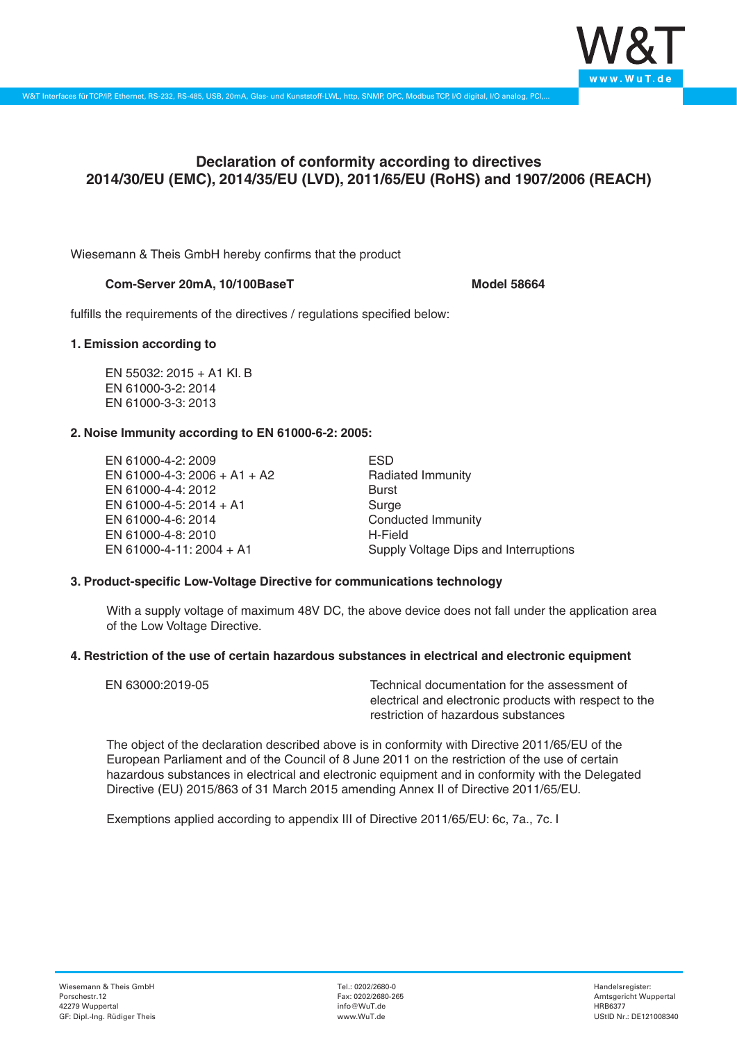

# **Declaration of conformity according to directives 2014/30/EU (EMC), 2014/35/EU (LVD), 2011/65/EU (RoHS) and 1907/2006 (REACH)**

Wiesemann & Theis GmbH hereby confirms that the product

## Com-Server 20mA, 10/100BaseT<br>
Model 58664

fulfills the requirements of the directives / regulations specified below:

### **1. Emission according to**

EN 55032: 2015 + A1 Kl. B EN 61000-3-2: 2014 EN 61000-3-3: 2013

## **2. Noise Immunity according to EN 61000-6-2: 2005:**

EN 61000-4-2: 2009 EN 61000-4-3: 2006 + A1 + A2 EN 61000-4-4: 2012 EN 61000-4-5: 2014 + A1 EN 61000-4-6: 2014 EN 61000-4-8: 2010 EN 61000-4-11: 2004 + A1

ESD Radiated Immunity Burst Surge Conducted Immunity H-Field Supply Voltage Dips and Interruptions

## **3. Product-specific Low-Voltage Directive for communications technology**

With a supply voltage of maximum 48V DC, the above device does not fall under the application area of the Low Voltage Directive.

#### **4. Restriction of the use of certain hazardous substances in electrical and electronic equipment**

| EN 63000:2019-05 | Technical documentation for the assessment of          |
|------------------|--------------------------------------------------------|
|                  | electrical and electronic products with respect to the |
|                  | restriction of hazardous substances                    |

The object of the declaration described above is in conformity with Directive 2011/65/EU of the European Parliament and of the Council of 8 June 2011 on the restriction of the use of certain hazardous substances in electrical and electronic equipment and in conformity with the Delegated Directive (EU) 2015/863 of 31 March 2015 amending Annex II of Directive 2011/65/EU.

Exemptions applied according to appendix III of Directive 2011/65/EU: 6c, 7a., 7c. I